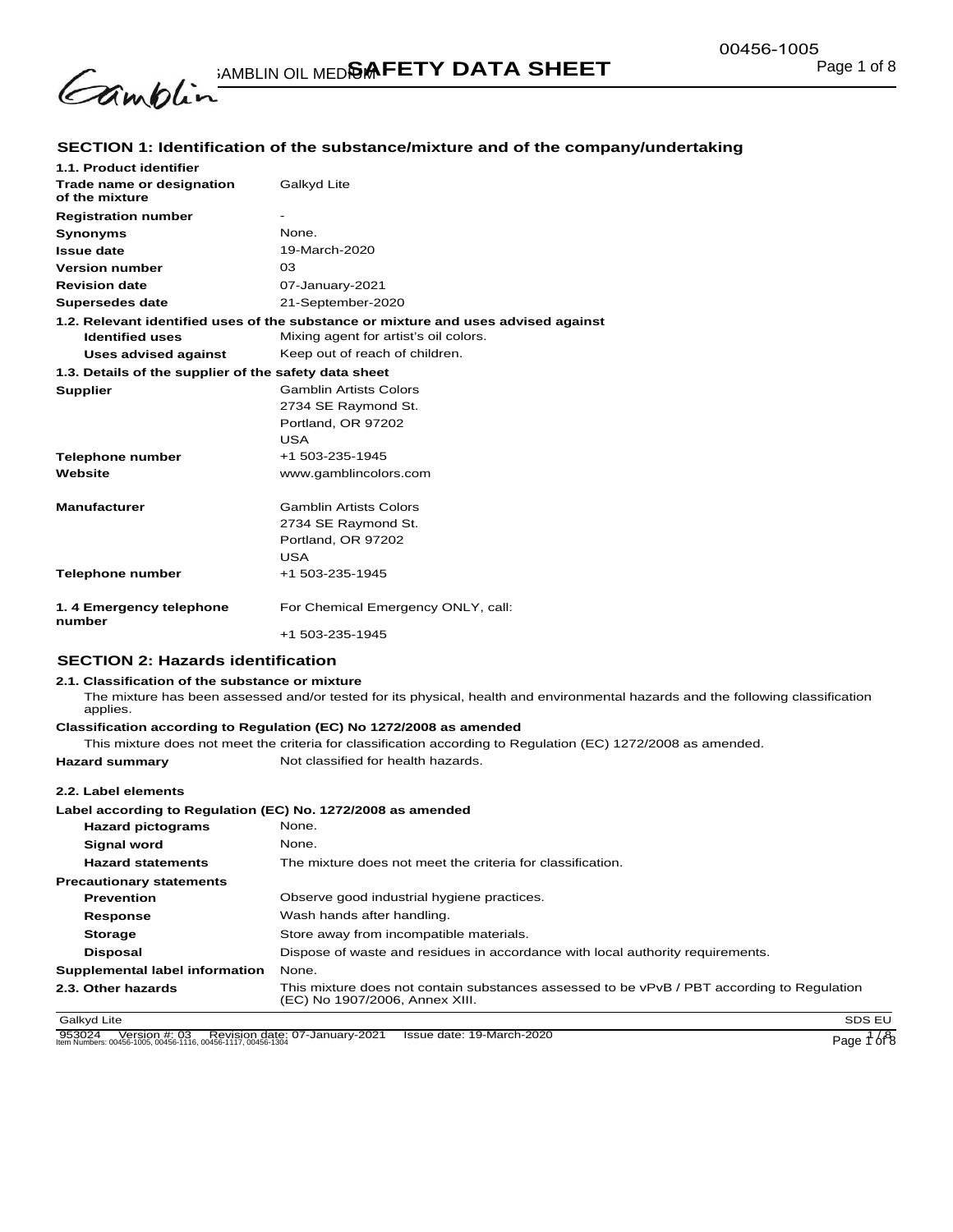

## **SECTION 1: Identification of the substance/mixture and of the company/undertaking**

| 1.1. Product identifier                               |                                                                                    |
|-------------------------------------------------------|------------------------------------------------------------------------------------|
| Trade name or designation<br>of the mixture           | Galkyd Lite                                                                        |
| <b>Registration number</b>                            | $\overline{\phantom{a}}$                                                           |
| <b>Synonyms</b>                                       | None.                                                                              |
| <b>Issue date</b>                                     | 19-March-2020                                                                      |
| <b>Version number</b>                                 | 03                                                                                 |
| <b>Revision date</b>                                  | 07-January-2021                                                                    |
| <b>Supersedes date</b>                                | 21-September-2020                                                                  |
|                                                       | 1.2. Relevant identified uses of the substance or mixture and uses advised against |
| <b>Identified uses</b>                                | Mixing agent for artist's oil colors.                                              |
| Uses advised against                                  | Keep out of reach of children.                                                     |
| 1.3. Details of the supplier of the safety data sheet |                                                                                    |
| <b>Supplier</b>                                       | <b>Gamblin Artists Colors</b>                                                      |
|                                                       | 2734 SE Raymond St.                                                                |
|                                                       | Portland, OR 97202                                                                 |
|                                                       | <b>USA</b>                                                                         |
| <b>Telephone number</b>                               | +1 503-235-1945                                                                    |
| Website                                               | www.gamblincolors.com                                                              |
|                                                       |                                                                                    |
|                                                       |                                                                                    |
| <b>Manufacturer</b>                                   | <b>Gamblin Artists Colors</b>                                                      |
|                                                       | 2734 SE Raymond St.                                                                |
|                                                       | Portland, OR 97202                                                                 |
|                                                       | USA                                                                                |
| <b>Telephone number</b>                               | +1 503-235-1945                                                                    |
| 1. 4 Emergency telephone<br>number                    | For Chemical Emergency ONLY, call:                                                 |

#### **SECTION 2: Hazards identification**

#### **2.1. Classification of the substance or mixture**

The mixture has been assessed and/or tested for its physical, health and environmental hazards and the following classification applies.

#### **Classification according to Regulation (EC) No 1272/2008 as amended**

This mixture does not meet the criteria for classification according to Regulation (EC) 1272/2008 as amended.

## **Hazard summary** Not classified for health hazards.

**2.2. Label elements**

#### **Label according to Regulation (EC) No. 1272/2008 as amended**

| None.                                                                                                                        |
|------------------------------------------------------------------------------------------------------------------------------|
| None.                                                                                                                        |
| The mixture does not meet the criteria for classification.                                                                   |
|                                                                                                                              |
| Observe good industrial hygiene practices.                                                                                   |
| Wash hands after handling.                                                                                                   |
| Store away from incompatible materials.                                                                                      |
| Dispose of waste and residues in accordance with local authority requirements.                                               |
| None.                                                                                                                        |
| This mixture does not contain substances assessed to be vPvB / PBT according to Regulation<br>(EC) No 1907/2006, Annex XIII. |
|                                                                                                                              |

Galkyd Lite SDS EU and the SDS EU and the SDS EU and the SDS EU and the SDS EU and the SDS EU and the SDS EU and the SDS EU and the SDS EU and the SDS EU and the SDS EU and the SDS EU and the SDS EU and the SDS EU and the

953024 Version #: 03 Revision date: 07-January-2021 Issue date: 19-March-2020<br>Item Numbers: 00456-1005, 00456-1116, 00456-1117, 00456-1304 Page 1 of 8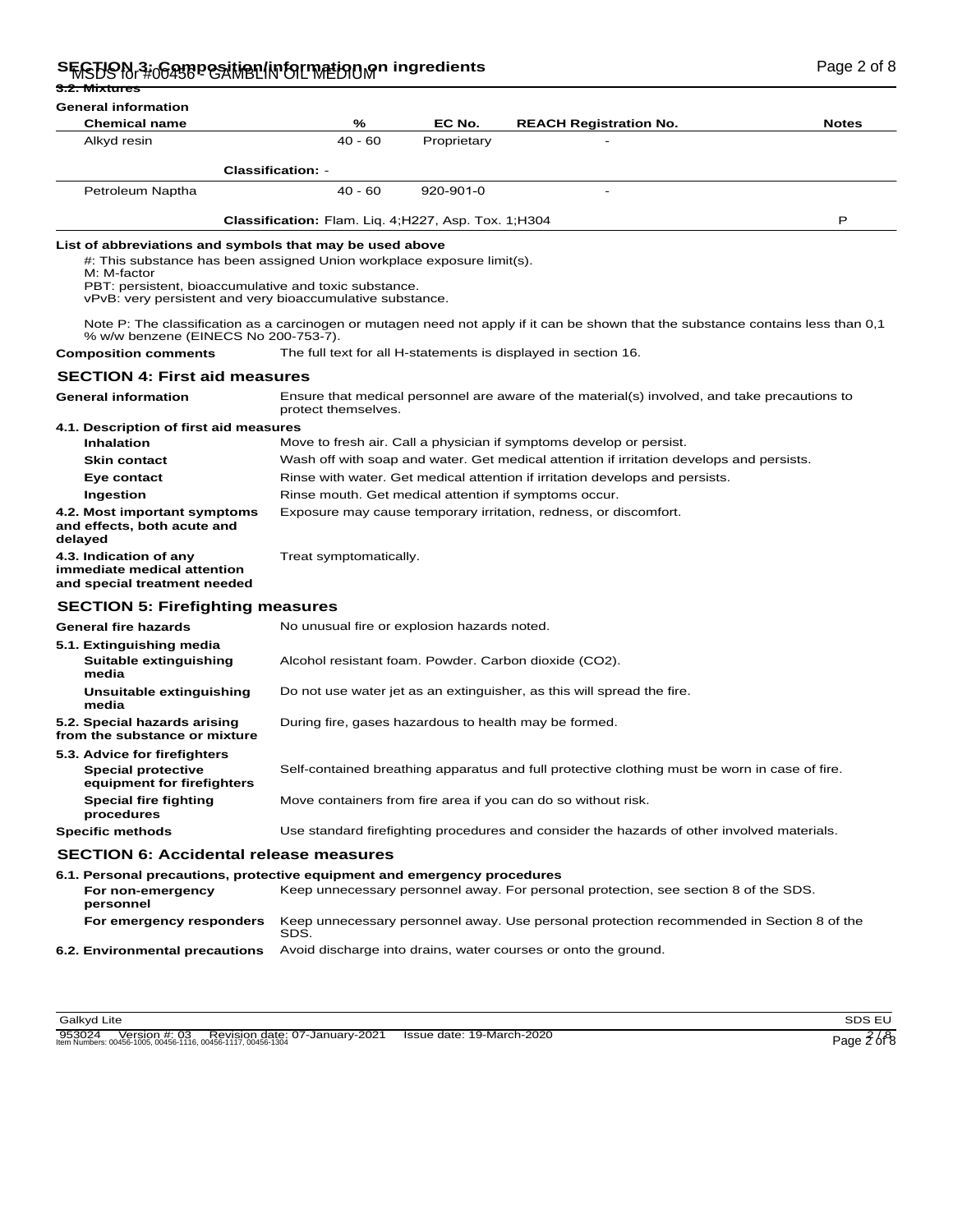## SFGHON 3: OGARPOSITION IN CLINE ON INGLES IN THE TERM OF THE COMPOSITION OF BAGE 2 of 8

| <del>3.2. Mixtures</del>                                                                                                                                                                                                                                                |                                                                                               |             |                                                                                                                                   |              |
|-------------------------------------------------------------------------------------------------------------------------------------------------------------------------------------------------------------------------------------------------------------------------|-----------------------------------------------------------------------------------------------|-------------|-----------------------------------------------------------------------------------------------------------------------------------|--------------|
| <b>General information</b>                                                                                                                                                                                                                                              |                                                                                               |             |                                                                                                                                   |              |
| <b>Chemical name</b>                                                                                                                                                                                                                                                    | %                                                                                             | EC No.      | <b>REACH Registration No.</b>                                                                                                     | <b>Notes</b> |
| Alkyd resin                                                                                                                                                                                                                                                             | $40 - 60$                                                                                     | Proprietary |                                                                                                                                   |              |
|                                                                                                                                                                                                                                                                         | <b>Classification: -</b>                                                                      |             |                                                                                                                                   |              |
| Petroleum Naptha                                                                                                                                                                                                                                                        | $40 - 60$                                                                                     | 920-901-0   |                                                                                                                                   |              |
|                                                                                                                                                                                                                                                                         |                                                                                               |             |                                                                                                                                   |              |
|                                                                                                                                                                                                                                                                         | Classification: Flam. Liq. 4;H227, Asp. Tox. 1;H304                                           |             |                                                                                                                                   | Р            |
| List of abbreviations and symbols that may be used above<br>#: This substance has been assigned Union workplace exposure limit(s).<br>M: M-factor<br>PBT: persistent, bioaccumulative and toxic substance.<br>vPvB: very persistent and very bioaccumulative substance. |                                                                                               |             |                                                                                                                                   |              |
| % w/w benzene (EINECS No 200-753-7).                                                                                                                                                                                                                                    |                                                                                               |             | Note P: The classification as a carcinogen or mutagen need not apply if it can be shown that the substance contains less than 0,1 |              |
| <b>Composition comments</b>                                                                                                                                                                                                                                             |                                                                                               |             | The full text for all H-statements is displayed in section 16.                                                                    |              |
| <b>SECTION 4: First aid measures</b>                                                                                                                                                                                                                                    |                                                                                               |             |                                                                                                                                   |              |
| <b>General information</b>                                                                                                                                                                                                                                              | protect themselves.                                                                           |             | Ensure that medical personnel are aware of the material(s) involved, and take precautions to                                      |              |
| 4.1. Description of first aid measures                                                                                                                                                                                                                                  |                                                                                               |             |                                                                                                                                   |              |
| Inhalation                                                                                                                                                                                                                                                              |                                                                                               |             | Move to fresh air. Call a physician if symptoms develop or persist.                                                               |              |
| Skin contact                                                                                                                                                                                                                                                            |                                                                                               |             | Wash off with soap and water. Get medical attention if irritation develops and persists.                                          |              |
| Eye contact<br>Ingestion                                                                                                                                                                                                                                                | Rinse mouth. Get medical attention if symptoms occur.                                         |             | Rinse with water. Get medical attention if irritation develops and persists.                                                      |              |
| 4.2. Most important symptoms                                                                                                                                                                                                                                            |                                                                                               |             | Exposure may cause temporary irritation, redness, or discomfort.                                                                  |              |
| and effects, both acute and<br>delayed                                                                                                                                                                                                                                  |                                                                                               |             |                                                                                                                                   |              |
| 4.3. Indication of any<br>immediate medical attention<br>and special treatment needed                                                                                                                                                                                   | Treat symptomatically.                                                                        |             |                                                                                                                                   |              |
| <b>SECTION 5: Firefighting measures</b>                                                                                                                                                                                                                                 |                                                                                               |             |                                                                                                                                   |              |
| <b>General fire hazards</b>                                                                                                                                                                                                                                             | No unusual fire or explosion hazards noted.                                                   |             |                                                                                                                                   |              |
| 5.1. Extinguishing media<br>Suitable extinguishing<br>media                                                                                                                                                                                                             | Alcohol resistant foam. Powder. Carbon dioxide (CO2).                                         |             |                                                                                                                                   |              |
| Unsuitable extinguishing<br>media                                                                                                                                                                                                                                       | Do not use water jet as an extinguisher, as this will spread the fire.                        |             |                                                                                                                                   |              |
| 5.2. Special hazards arising<br>from the substance or mixture                                                                                                                                                                                                           | During fire, gases hazardous to health may be formed.                                         |             |                                                                                                                                   |              |
| 5.3. Advice for firefighters<br><b>Special protective</b><br>equipment for firefighters                                                                                                                                                                                 | Self-contained breathing apparatus and full protective clothing must be worn in case of fire. |             |                                                                                                                                   |              |
| <b>Special fire fighting</b><br>procedures                                                                                                                                                                                                                              | Move containers from fire area if you can do so without risk.                                 |             |                                                                                                                                   |              |
| <b>Specific methods</b>                                                                                                                                                                                                                                                 |                                                                                               |             | Use standard firefighting procedures and consider the hazards of other involved materials.                                        |              |
| <b>SECTION 6: Accidental release measures</b>                                                                                                                                                                                                                           |                                                                                               |             |                                                                                                                                   |              |
| 6.1. Personal precautions, protective equipment and emergency procedures                                                                                                                                                                                                |                                                                                               |             |                                                                                                                                   |              |
| For non-emergency<br>personnel                                                                                                                                                                                                                                          |                                                                                               |             | Keep unnecessary personnel away. For personal protection, see section 8 of the SDS.                                               |              |
| For emergency responders                                                                                                                                                                                                                                                | SDS.                                                                                          |             | Keep unnecessary personnel away. Use personal protection recommended in Section 8 of the                                          |              |
| 6.2. Environmental precautions                                                                                                                                                                                                                                          |                                                                                               |             | Avoid discharge into drains, water courses or onto the ground.                                                                    |              |

Galkyd Lite SDS EU and the SDS EU and the SDS EU and the SDS EU and the SDS EU and the SDS EU and the SDS EU and the SDS EU and the SDS EU and the SDS EU and the SDS EU and the SDS EU and the SDS EU and the SDS EU and the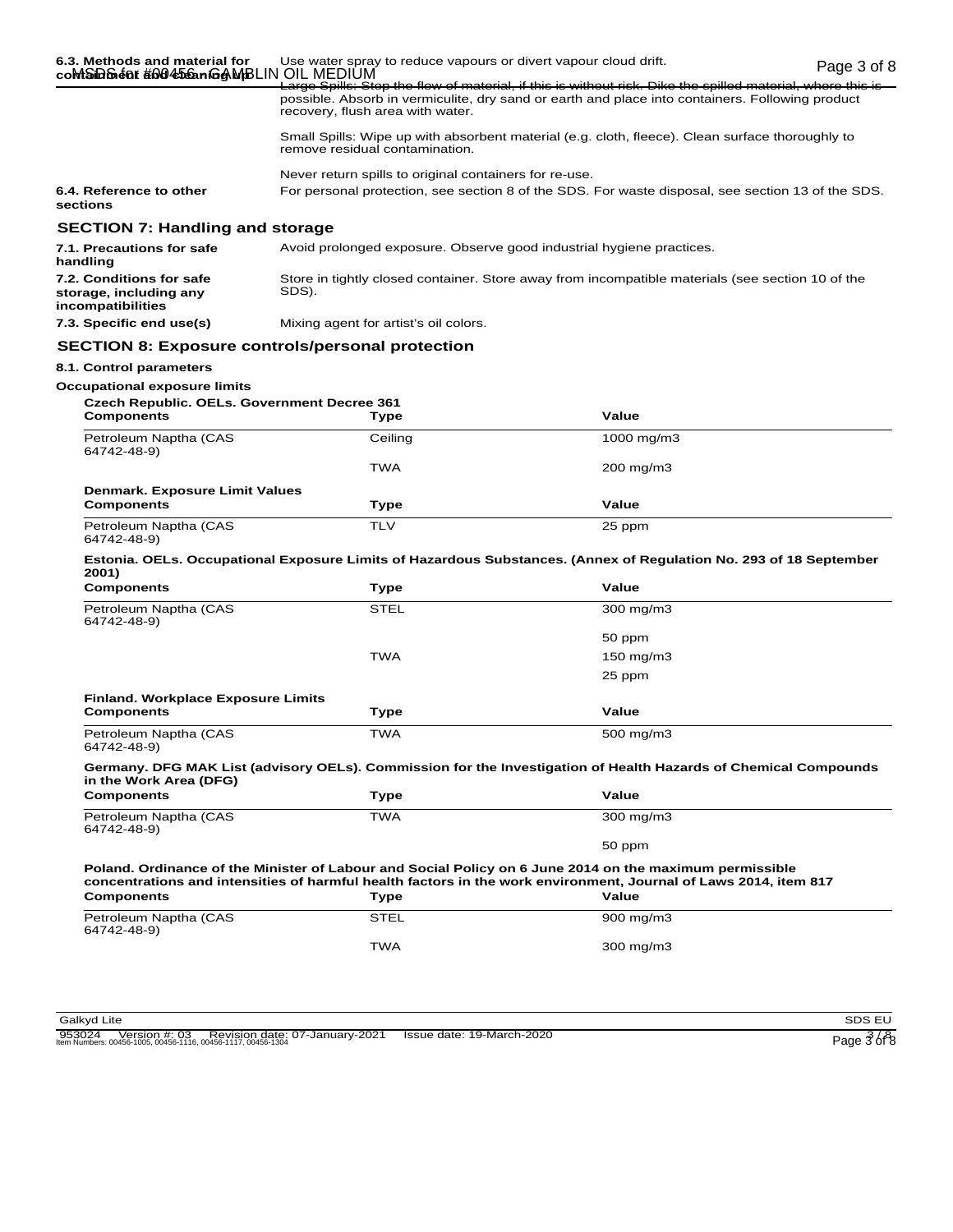|                                                                                                                | coMSiD&é0f#0045eanGAMBLIN OIL MEDIUM                                                                      | Use water spray to reduce vapours or divert vapour cloud drift.                                                                                                                                                             | Page 3 of 8 |
|----------------------------------------------------------------------------------------------------------------|-----------------------------------------------------------------------------------------------------------|-----------------------------------------------------------------------------------------------------------------------------------------------------------------------------------------------------------------------------|-------------|
|                                                                                                                | recovery, flush area with water.                                                                          | <u>Large Spills: Stop the flow of material, if this is without risk. Dike the spilled material, where this is -</u><br>possible. Absorb in vermiculite, dry sand or earth and place into containers. Following product      |             |
|                                                                                                                | remove residual contamination.                                                                            | Small Spills: Wipe up with absorbent material (e.g. cloth, fleece). Clean surface thoroughly to                                                                                                                             |             |
|                                                                                                                | Never return spills to original containers for re-use.                                                    |                                                                                                                                                                                                                             |             |
| 6.4. Reference to other<br>sections                                                                            |                                                                                                           | For personal protection, see section 8 of the SDS. For waste disposal, see section 13 of the SDS.                                                                                                                           |             |
| <b>SECTION 7: Handling and storage</b>                                                                         |                                                                                                           |                                                                                                                                                                                                                             |             |
| 7.1. Precautions for safe<br>handling                                                                          | Avoid prolonged exposure. Observe good industrial hygiene practices.                                      |                                                                                                                                                                                                                             |             |
| 7.2. Conditions for safe<br>storage, including any<br>incompatibilities                                        | Store in tightly closed container. Store away from incompatible materials (see section 10 of the<br>SDS). |                                                                                                                                                                                                                             |             |
| 7.3. Specific end use(s)                                                                                       | Mixing agent for artist's oil colors.                                                                     |                                                                                                                                                                                                                             |             |
|                                                                                                                | <b>SECTION 8: Exposure controls/personal protection</b>                                                   |                                                                                                                                                                                                                             |             |
| 8.1. Control parameters                                                                                        |                                                                                                           |                                                                                                                                                                                                                             |             |
| <b>Occupational exposure limits</b><br><b>Czech Republic. OELs. Government Decree 361</b><br><b>Components</b> | Type                                                                                                      | Value                                                                                                                                                                                                                       |             |
| Petroleum Naptha (CAS                                                                                          | Ceiling                                                                                                   | 1000 mg/m $3$                                                                                                                                                                                                               |             |
| 64742-48-9)                                                                                                    |                                                                                                           |                                                                                                                                                                                                                             |             |
|                                                                                                                | <b>TWA</b>                                                                                                | 200 mg/m3                                                                                                                                                                                                                   |             |
| Denmark. Exposure Limit Values<br><b>Components</b>                                                            | Type                                                                                                      | Value                                                                                                                                                                                                                       |             |
| Petroleum Naptha (CAS<br>64742-48-9)                                                                           | <b>TLV</b>                                                                                                | 25 ppm                                                                                                                                                                                                                      |             |
|                                                                                                                |                                                                                                           |                                                                                                                                                                                                                             |             |
|                                                                                                                |                                                                                                           | Estonia. OELs. Occupational Exposure Limits of Hazardous Substances. (Annex of Regulation No. 293 of 18 September                                                                                                           |             |
| 2001)<br><b>Components</b>                                                                                     | Type                                                                                                      | Value                                                                                                                                                                                                                       |             |
| Petroleum Naptha (CAS                                                                                          | <b>STEL</b>                                                                                               | 300 mg/m3                                                                                                                                                                                                                   |             |
| 64742-48-9)                                                                                                    |                                                                                                           | 50 ppm                                                                                                                                                                                                                      |             |
|                                                                                                                | <b>TWA</b>                                                                                                | 150 mg/m3                                                                                                                                                                                                                   |             |
|                                                                                                                |                                                                                                           | 25 ppm                                                                                                                                                                                                                      |             |
| <b>Finland. Workplace Exposure Limits</b>                                                                      |                                                                                                           |                                                                                                                                                                                                                             |             |
| Components                                                                                                     | Type                                                                                                      | Value                                                                                                                                                                                                                       |             |
| Petroleum Naptha (CAS<br>64742-48-9)                                                                           | <b>TWA</b>                                                                                                | 500 mg/m3                                                                                                                                                                                                                   |             |
|                                                                                                                |                                                                                                           | Germany. DFG MAK List (advisory OELs). Commission for the Investigation of Health Hazards of Chemical Compounds                                                                                                             |             |
| in the Work Area (DFG)<br><b>Components</b>                                                                    | <b>Type</b>                                                                                               | Value                                                                                                                                                                                                                       |             |
| Petroleum Naptha (CAS<br>64742-48-9)                                                                           | <b>TWA</b>                                                                                                | 300 mg/m3                                                                                                                                                                                                                   |             |
|                                                                                                                |                                                                                                           | 50 ppm                                                                                                                                                                                                                      |             |
|                                                                                                                |                                                                                                           | Poland. Ordinance of the Minister of Labour and Social Policy on 6 June 2014 on the maximum permissible<br>concentrations and intensities of harmful health factors in the work environment, Journal of Laws 2014, item 817 |             |
| <b>Components</b>                                                                                              | <b>Type</b>                                                                                               | Value                                                                                                                                                                                                                       |             |
| Petroleum Naptha (CAS<br>64742-48-9)                                                                           | <b>STEL</b>                                                                                               | 900 mg/m3                                                                                                                                                                                                                   |             |

Galkyd Lite SDS EU and the SDS EU and the SDS EU and the SDS EU and the SDS EU and the SDS EU and the SDS EU and the SDS EU and the SDS EU and the SDS EU and the SDS EU and the SDS EU and the SDS EU and the SDS EU and the

953024 Version #: 03 Revision date: 07-January-2021 Issue date: 19-March-2020<br>Item Numbers: 00456-1005, 00456-1116, 00456-1117, 00456-1304 Page 3 of 8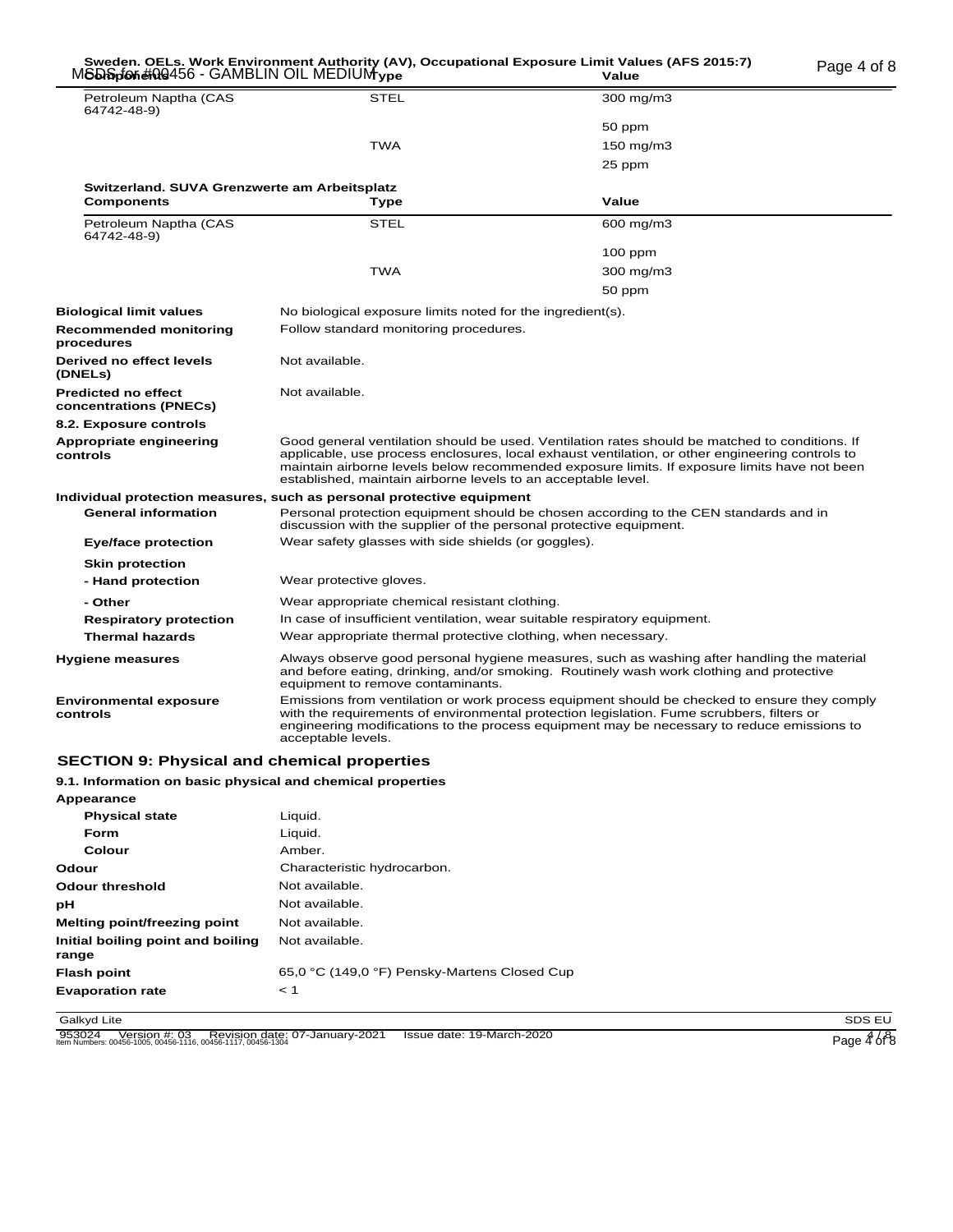#### Page 4 of 8 MSDS for #00456 - GAMBLIN OIL MEDIUM **Sweden. OELs. Work Environment Authority (AV), Occupational Exposure Limit Values (AFS 2015:7)**  $\epsilon$ **Components Type Value Value Value Value**

| Page 4 of 8 |  |  |
|-------------|--|--|
|             |  |  |

|                                                      | . .                                                                                                                                                                                                                                                                                                                                                                |                |  |  |
|------------------------------------------------------|--------------------------------------------------------------------------------------------------------------------------------------------------------------------------------------------------------------------------------------------------------------------------------------------------------------------------------------------------------------------|----------------|--|--|
| Petroleum Naptha (CAS<br>64742-48-9)                 | <b>STEL</b>                                                                                                                                                                                                                                                                                                                                                        | 300 mg/m3      |  |  |
|                                                      |                                                                                                                                                                                                                                                                                                                                                                    | 50 ppm         |  |  |
|                                                      | <b>TWA</b>                                                                                                                                                                                                                                                                                                                                                         | 150 mg/m $3$   |  |  |
|                                                      |                                                                                                                                                                                                                                                                                                                                                                    | 25 ppm         |  |  |
| Switzerland. SUVA Grenzwerte am Arbeitsplatz         |                                                                                                                                                                                                                                                                                                                                                                    |                |  |  |
| <b>Components</b>                                    | Type                                                                                                                                                                                                                                                                                                                                                               | Value          |  |  |
| Petroleum Naptha (CAS<br>64742-48-9)                 | <b>STEL</b>                                                                                                                                                                                                                                                                                                                                                        | $600$ mg/m $3$ |  |  |
|                                                      |                                                                                                                                                                                                                                                                                                                                                                    | $100$ ppm      |  |  |
|                                                      | <b>TWA</b>                                                                                                                                                                                                                                                                                                                                                         | 300 mg/m3      |  |  |
|                                                      |                                                                                                                                                                                                                                                                                                                                                                    | 50 ppm         |  |  |
| <b>Biological limit values</b>                       | No biological exposure limits noted for the ingredient(s).                                                                                                                                                                                                                                                                                                         |                |  |  |
| <b>Recommended monitoring</b><br>procedures          | Follow standard monitoring procedures.                                                                                                                                                                                                                                                                                                                             |                |  |  |
| Derived no effect levels<br>(DNELs)                  | Not available.                                                                                                                                                                                                                                                                                                                                                     |                |  |  |
| <b>Predicted no effect</b><br>concentrations (PNECs) | Not available.                                                                                                                                                                                                                                                                                                                                                     |                |  |  |
| 8.2. Exposure controls                               |                                                                                                                                                                                                                                                                                                                                                                    |                |  |  |
| Appropriate engineering<br>controls                  | Good general ventilation should be used. Ventilation rates should be matched to conditions. If<br>applicable, use process enclosures, local exhaust ventilation, or other engineering controls to<br>maintain airborne levels below recommended exposure limits. If exposure limits have not been<br>established, maintain airborne levels to an acceptable level. |                |  |  |
|                                                      | Individual protection measures, such as personal protective equipment                                                                                                                                                                                                                                                                                              |                |  |  |
| <b>General information</b>                           | Personal protection equipment should be chosen according to the CEN standards and in<br>discussion with the supplier of the personal protective equipment.                                                                                                                                                                                                         |                |  |  |
| <b>Eye/face protection</b>                           | Wear safety glasses with side shields (or goggles).                                                                                                                                                                                                                                                                                                                |                |  |  |
| <b>Skin protection</b>                               |                                                                                                                                                                                                                                                                                                                                                                    |                |  |  |
| - Hand protection                                    | Wear protective gloves.                                                                                                                                                                                                                                                                                                                                            |                |  |  |
| - Other                                              | Wear appropriate chemical resistant clothing.                                                                                                                                                                                                                                                                                                                      |                |  |  |
| <b>Respiratory protection</b>                        | In case of insufficient ventilation, wear suitable respiratory equipment.                                                                                                                                                                                                                                                                                          |                |  |  |
| <b>Thermal hazards</b>                               | Wear appropriate thermal protective clothing, when necessary.                                                                                                                                                                                                                                                                                                      |                |  |  |
| Hygiene measures                                     | Always observe good personal hygiene measures, such as washing after handling the material<br>and before eating, drinking, and/or smoking. Routinely wash work clothing and protective<br>equipment to remove contaminants.                                                                                                                                        |                |  |  |
| <b>Environmental exposure</b><br>controls            | Emissions from ventilation or work process equipment should be checked to ensure they comply<br>with the requirements of environmental protection legislation. Fume scrubbers, filters or<br>engineering modifications to the process equipment may be necessary to reduce emissions to<br>acceptable levels.                                                      |                |  |  |

### **SECTION 9: Physical and chemical properties**

#### **9.1. Information on basic physical and chemical properties**

| Appearance                                 |                                              |
|--------------------------------------------|----------------------------------------------|
| <b>Physical state</b>                      | Liquid.                                      |
| <b>Form</b>                                | Liquid.                                      |
| Colour                                     | Amber.                                       |
| Odour                                      | Characteristic hydrocarbon.                  |
| Odour threshold                            | Not available.                               |
| рH                                         | Not available.                               |
| Melting point/freezing point               | Not available.                               |
| Initial boiling point and boiling<br>range | Not available.                               |
| <b>Flash point</b>                         | 65,0 °C (149,0 °F) Pensky-Martens Closed Cup |
| <b>Evaporation rate</b>                    | < 1                                          |

Galkyd Lite SDS EU and the SDS EU and the SDS EU and the SDS EU and the SDS EU and the SDS EU and the SDS EU and the SDS EU and the SDS EU and the SDS EU and the SDS EU and the SDS EU and the SDS EU and the SDS EU and the

953024 Version #: 03 Revision date: 07-January-2021 Issue date: 19-March-2020<br>Item Numbers: 00456-1005, 00456-1116, 00456-1117, 00456-1304 Page 4 of 8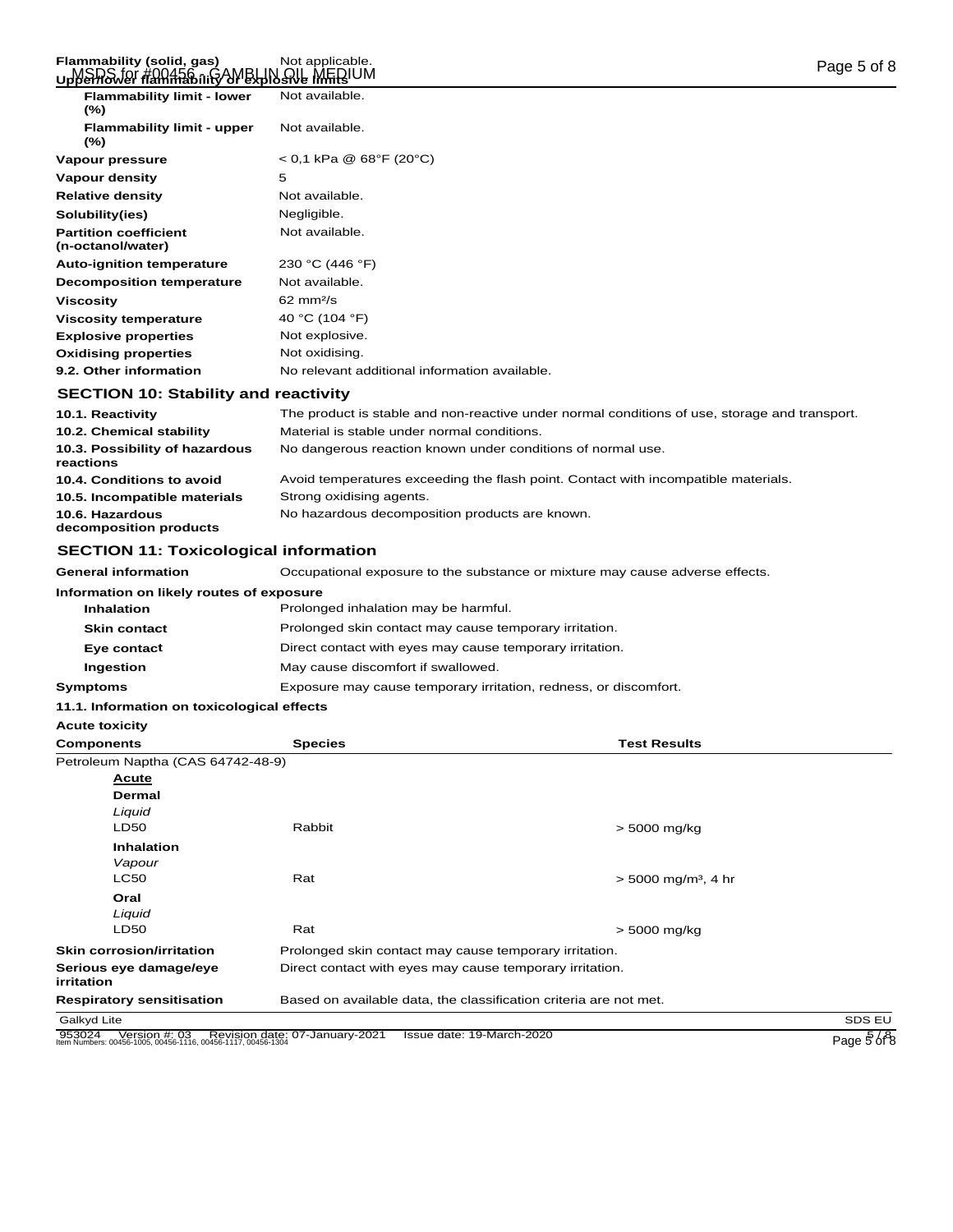#### Flammability (solid, gas) Not applicable.<br>பาฟริพิลม*์มา #มินิล์5*ดิ การ2MBLIN QIL MEDIUM **Upper/lower flammability or explosive limits**

| <b>Flammability limit - lower</b><br>$(\%)$       | Not available.                                                                                    |
|---------------------------------------------------|---------------------------------------------------------------------------------------------------|
| <b>Flammability limit - upper</b><br>$(\%)$       | Not available.                                                                                    |
| Vapour pressure                                   | $<$ 0,1 kPa @ 68°F (20°C)                                                                         |
| Vapour density                                    | 5                                                                                                 |
| <b>Relative density</b>                           | Not available.                                                                                    |
| Solubility(ies)                                   | Negligible.                                                                                       |
| <b>Partition coefficient</b><br>(n-octanol/water) | Not available.                                                                                    |
| <b>Auto-ignition temperature</b>                  | 230 °C (446 °F)                                                                                   |
| <b>Decomposition temperature</b>                  | Not available.                                                                                    |
| <b>Viscosity</b>                                  | $62 \text{ mm}^2$ /s                                                                              |
| <b>Viscosity temperature</b>                      | 40 °C (104 °F)                                                                                    |
| <b>Explosive properties</b>                       | Not explosive.                                                                                    |
| <b>Oxidising properties</b>                       | Not oxidising.                                                                                    |
| 9.2. Other information                            | No relevant additional information available.                                                     |
| <b>SECTION 10: Stability and reactivity</b>       |                                                                                                   |
| .                                                 | 그는 그 사람들은 그 사람들은 그 사람들을 하고 있다. 그 사람들은 그 사람들은 그 사람들을 지나가고 있다. 그 사람들은 그 사람들은 그 사람들은 그 사람들을 지나가고 있다. |

| 10.1. Reactivity                            | The product is stable and non-reactive under normal conditions of use, storage and transport. |
|---------------------------------------------|-----------------------------------------------------------------------------------------------|
| 10.2. Chemical stability                    | Material is stable under normal conditions.                                                   |
| 10.3. Possibility of hazardous<br>reactions | No dangerous reaction known under conditions of normal use.                                   |
| 10.4. Conditions to avoid                   | Avoid temperatures exceeding the flash point. Contact with incompatible materials.            |
| 10.5. Incompatible materials                | Strong oxidising agents.                                                                      |
| 10.6. Hazardous<br>decomposition products   | No hazardous decomposition products are known.                                                |

## **SECTION 11: Toxicological information**

| <b>General information</b>               | Occupational exposure to the substance or mixture may cause adverse effects. |
|------------------------------------------|------------------------------------------------------------------------------|
| Information on likely routes of exposure |                                                                              |
| <b>Inhalation</b>                        | Prolonged inhalation may be harmful.                                         |
| <b>Skin contact</b>                      | Prolonged skin contact may cause temporary irritation.                       |
| Eye contact                              | Direct contact with eyes may cause temporary irritation.                     |
| Ingestion                                | May cause discomfort if swallowed.                                           |
| <b>Symptoms</b>                          | Exposure may cause temporary irritation, redness, or discomfort.             |
|                                          |                                                                              |

## **11.1. Information on toxicological effects**

**Acute toxicity**

| <b>Components</b>                                                                       | <b>Species</b>                                           | <b>Test Results</b>                                               |                               |
|-----------------------------------------------------------------------------------------|----------------------------------------------------------|-------------------------------------------------------------------|-------------------------------|
| Petroleum Naptha (CAS 64742-48-9)                                                       |                                                          |                                                                   |                               |
| <u>Acute</u>                                                                            |                                                          |                                                                   |                               |
| <b>Dermal</b>                                                                           |                                                          |                                                                   |                               |
| Liquid                                                                                  |                                                          |                                                                   |                               |
| <b>LD50</b>                                                                             | Rabbit                                                   | $> 5000$ mg/kg                                                    |                               |
| <b>Inhalation</b>                                                                       |                                                          |                                                                   |                               |
| Vapour                                                                                  |                                                          |                                                                   |                               |
| <b>LC50</b>                                                                             | Rat                                                      | $>$ 5000 mg/m <sup>3</sup> , 4 hr                                 |                               |
| Oral                                                                                    |                                                          |                                                                   |                               |
| Liquid                                                                                  |                                                          |                                                                   |                               |
| <b>LD50</b>                                                                             | Rat                                                      | $> 5000$ mg/kg                                                    |                               |
| <b>Skin corrosion/irritation</b>                                                        | Prolonged skin contact may cause temporary irritation.   |                                                                   |                               |
| Serious eye damage/eye<br>irritation                                                    | Direct contact with eyes may cause temporary irritation. |                                                                   |                               |
| <b>Respiratory sensitisation</b>                                                        |                                                          | Based on available data, the classification criteria are not met. |                               |
| Galkyd Lite                                                                             |                                                          |                                                                   | SDS EU                        |
| 953024<br>Version #: 03<br>Item Numbers: 00456-1005, 00456-1116, 00456-1117, 00456-1304 | Revision date: 07-January-2021                           | Issue date: 19-March-2020                                         | Page $\frac{5}{6}$ $\sqrt{8}$ |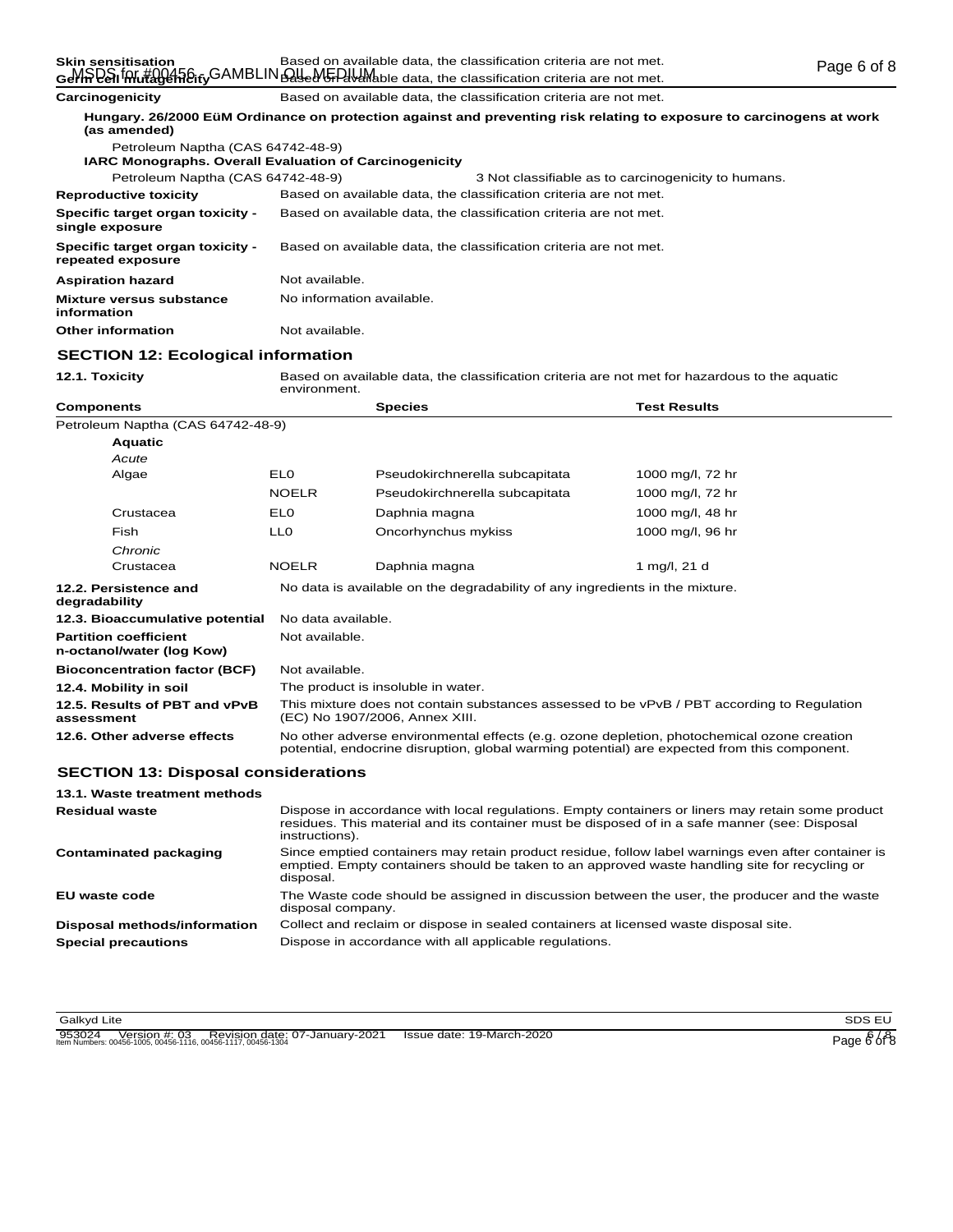| <b>Octril Cell Indiagementy</b> | <u>Basca on available data, the classification chilena are not met.</u> |
|---------------------------------|-------------------------------------------------------------------------|
| Carcinogenicity                 | Based on available data, the classification criteria are not met.       |

| (as amended)                                                  |                           | Hungary, 26/2000 EüM Ordinance on protection against and preventing risk relating to exposure to carcinogens at work |
|---------------------------------------------------------------|---------------------------|----------------------------------------------------------------------------------------------------------------------|
| Petroleum Naptha (CAS 64742-48-9)                             |                           |                                                                                                                      |
| <b>IARC Monographs. Overall Evaluation of Carcinogenicity</b> |                           |                                                                                                                      |
| Petroleum Naptha (CAS 64742-48-9)                             |                           | 3 Not classifiable as to carcinogenicity to humans.                                                                  |
| <b>Reproductive toxicity</b>                                  |                           | Based on available data, the classification criteria are not met.                                                    |
| Specific target organ toxicity -<br>single exposure           |                           | Based on available data, the classification criteria are not met.                                                    |
| Specific target organ toxicity -<br>repeated exposure         |                           | Based on available data, the classification criteria are not met.                                                    |
| <b>Aspiration hazard</b>                                      | Not available.            |                                                                                                                      |
| <b>Mixture versus substance</b><br>information                | No information available. |                                                                                                                      |
| <b>Other information</b>                                      | Not available.            |                                                                                                                      |

### **SECTION 12: Ecological information**

**12.1. Toxicity EXEC BASED ENDING MENUION** Based on available data, the classification criteria are not met for hazardous to the aquatic<br>environment.

| <b>Components</b>                                         |                                                                                                                                                                                            | <b>Species</b>                                                               | <b>Test Results</b> |  |
|-----------------------------------------------------------|--------------------------------------------------------------------------------------------------------------------------------------------------------------------------------------------|------------------------------------------------------------------------------|---------------------|--|
| Petroleum Naptha (CAS 64742-48-9)                         |                                                                                                                                                                                            |                                                                              |                     |  |
| <b>Aquatic</b>                                            |                                                                                                                                                                                            |                                                                              |                     |  |
| Acute                                                     |                                                                                                                                                                                            |                                                                              |                     |  |
| Algae                                                     | EL <sub>0</sub>                                                                                                                                                                            | Pseudokirchnerella subcapitata                                               | 1000 mg/l, 72 hr    |  |
|                                                           | <b>NOELR</b>                                                                                                                                                                               | Pseudokirchnerella subcapitata                                               | 1000 mg/l, 72 hr    |  |
| Crustacea                                                 | EL <sub>0</sub>                                                                                                                                                                            | Daphnia magna                                                                | 1000 mg/l, 48 hr    |  |
| Fish                                                      | LL0                                                                                                                                                                                        | Oncorhynchus mykiss                                                          | 1000 mg/l, 96 hr    |  |
| Chronic                                                   |                                                                                                                                                                                            |                                                                              |                     |  |
| Crustacea                                                 | <b>NOELR</b>                                                                                                                                                                               | Daphnia magna                                                                | 1 mg/l, 21 d        |  |
| 12.2. Persistence and<br>degradability                    |                                                                                                                                                                                            | No data is available on the degradability of any ingredients in the mixture. |                     |  |
| 12.3. Bioaccumulative potential                           | No data available.                                                                                                                                                                         |                                                                              |                     |  |
| <b>Partition coefficient</b><br>n-octanol/water (log Kow) | Not available.                                                                                                                                                                             |                                                                              |                     |  |
| <b>Bioconcentration factor (BCF)</b>                      | Not available.                                                                                                                                                                             |                                                                              |                     |  |
| 12.4. Mobility in soil                                    | The product is insoluble in water.                                                                                                                                                         |                                                                              |                     |  |
| 12.5. Results of PBT and vPvB<br>assessment               | This mixture does not contain substances assessed to be vPvB / PBT according to Regulation<br>(EC) No 1907/2006, Annex XIII.                                                               |                                                                              |                     |  |
| 12.6. Other adverse effects                               | No other adverse environmental effects (e.g. ozone depletion, photochemical ozone creation<br>potential, endocrine disruption, global warming potential) are expected from this component. |                                                                              |                     |  |
| <b>SECTION 13: Disposal considerations</b>                |                                                                                                                                                                                            |                                                                              |                     |  |
| 13.1. Waste treatment methods                             |                                                                                                                                                                                            |                                                                              |                     |  |
| <b>Residual waste</b>                                     | Dispose in accordance with local regulations. Empty containers or liners may retain some product                                                                                           |                                                                              |                     |  |

| RESIUUAI WASIE                | Dispuse in accordance with local requisitions. Empty containers or imers may retain some product<br>residues. This material and its container must be disposed of in a safe manner (see: Disposal<br>instructions). |
|-------------------------------|---------------------------------------------------------------------------------------------------------------------------------------------------------------------------------------------------------------------|
| <b>Contaminated packaging</b> | Since emptied containers may retain product residue, follow label warnings even after container is<br>emptied. Empty containers should be taken to an approved waste handling site for recycling or<br>disposal.    |
| EU waste code                 | The Waste code should be assigned in discussion between the user, the producer and the waste<br>disposal company.                                                                                                   |
| Disposal methods/information  | Collect and reclaim or dispose in sealed containers at licensed waste disposal site.                                                                                                                                |
| <b>Special precautions</b>    | Dispose in accordance with all applicable regulations.                                                                                                                                                              |
|                               |                                                                                                                                                                                                                     |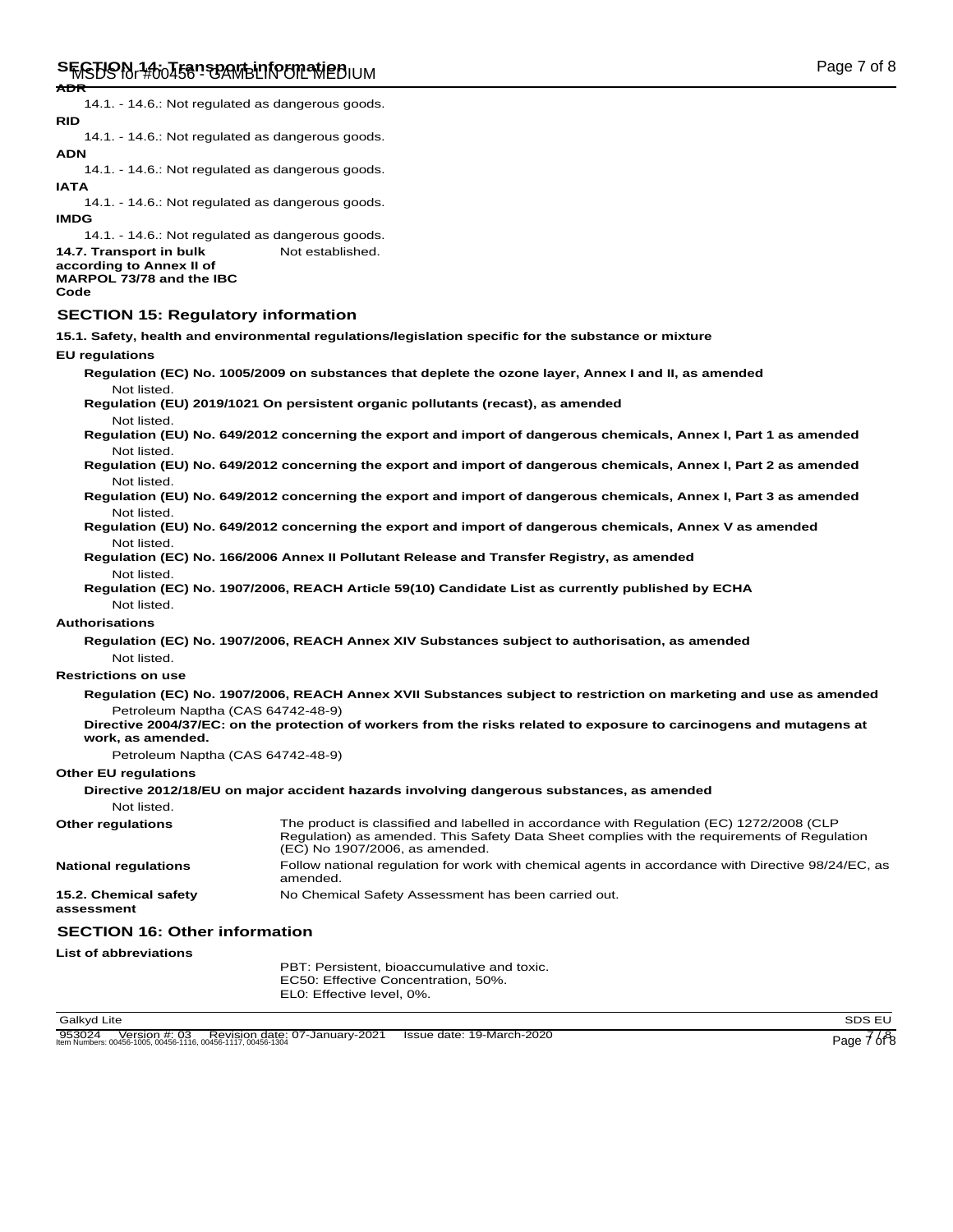14.1. - 14.6.: Not regulated as dangerous goods. **RID**

14.1. - 14.6.: Not regulated as dangerous goods. **ADN**

14.1. - 14.6.: Not regulated as dangerous goods. **IATA**

14.1. - 14.6.: Not regulated as dangerous goods. **IMDG**

14.1. - 14.6.: Not regulated as dangerous goods.

14.7. Transport in bulk Not established. **according to Annex II of MARPOL 73/78 and the IBC**

## **Code**

## **SECTION 15: Regulatory information**

**15.1. Safety, health and environmental regulations/legislation specific for the substance or mixture**

#### **EU regulations**

| Not listed.                                            | Regulation (EC) No. 1005/2009 on substances that deplete the ozone layer, Annex I and II, as amended                                                                                                                      |
|--------------------------------------------------------|---------------------------------------------------------------------------------------------------------------------------------------------------------------------------------------------------------------------------|
| Not listed.                                            | Regulation (EU) 2019/1021 On persistent organic pollutants (recast), as amended                                                                                                                                           |
|                                                        | Regulation (EU) No. 649/2012 concerning the export and import of dangerous chemicals, Annex I, Part 1 as amended                                                                                                          |
| Not listed.<br>Not listed.                             | Regulation (EU) No. 649/2012 concerning the export and import of dangerous chemicals, Annex I, Part 2 as amended                                                                                                          |
| Not listed.                                            | Regulation (EU) No. 649/2012 concerning the export and import of dangerous chemicals, Annex I, Part 3 as amended                                                                                                          |
| Not listed.                                            | Regulation (EU) No. 649/2012 concerning the export and import of dangerous chemicals, Annex V as amended                                                                                                                  |
| Not listed.                                            | Regulation (EC) No. 166/2006 Annex II Pollutant Release and Transfer Registry, as amended                                                                                                                                 |
| Not listed.                                            | Regulation (EC) No. 1907/2006, REACH Article 59(10) Candidate List as currently published by ECHA                                                                                                                         |
| <b>Authorisations</b>                                  |                                                                                                                                                                                                                           |
| Not listed.                                            | Regulation (EC) No. 1907/2006, REACH Annex XIV Substances subject to authorisation, as amended                                                                                                                            |
| <b>Restrictions on use</b>                             |                                                                                                                                                                                                                           |
|                                                        | Regulation (EC) No. 1907/2006, REACH Annex XVII Substances subject to restriction on marketing and use as amended                                                                                                         |
| Petroleum Naptha (CAS 64742-48-9)<br>work, as amended. | Directive 2004/37/EC: on the protection of workers from the risks related to exposure to carcinogens and mutagens at                                                                                                      |
| Petroleum Naptha (CAS 64742-48-9)                      |                                                                                                                                                                                                                           |
| <b>Other EU regulations</b>                            |                                                                                                                                                                                                                           |
|                                                        | Directive 2012/18/EU on major accident hazards involving dangerous substances, as amended                                                                                                                                 |
| Not listed.                                            |                                                                                                                                                                                                                           |
| <b>Other regulations</b>                               | The product is classified and labelled in accordance with Regulation (EC) 1272/2008 (CLP<br>Regulation) as amended. This Safety Data Sheet complies with the requirements of Regulation<br>(EC) No 1907/2006, as amended. |
| <b>National regulations</b>                            | Follow national regulation for work with chemical agents in accordance with Directive 98/24/EC, as<br>amended.                                                                                                            |
| 15.2. Chemical safety<br>assessment                    | No Chemical Safety Assessment has been carried out.                                                                                                                                                                       |
| <b>SECTION 16: Other information</b>                   |                                                                                                                                                                                                                           |
| <b>List of abbreviations</b>                           |                                                                                                                                                                                                                           |
|                                                        | PBT: Persistent, bioaccumulative and toxic.<br>EC50: Effective Concentration, 50%.                                                                                                                                        |

EL0: Effective level, 0%.

Galkyd Lite SDS EU and the SDS EU and the SDS EU and the SDS EU and the SDS EU and the SDS EU and the SDS EU and the SDS EU and the SDS EU and the SDS EU and the SDS EU and the SDS EU and the SDS EU and the SDS EU and the